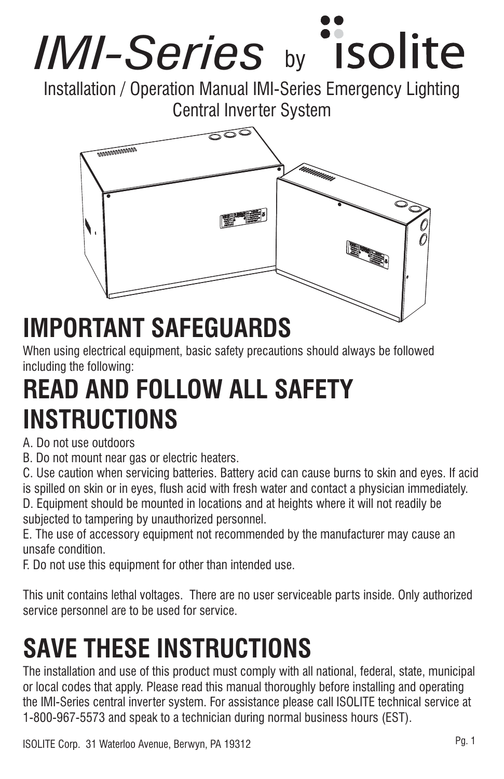

Installation / Operation Manual IMI-Series Emergency Lighting Central Inverter System



# **IMPORTANT SAFEGUARDS**

When using electrical equipment, basic safety precautions should always be followed including the following:

# **READ AND FOLLOW ALL SAFETY INSTRUCTIONS**

### A. Do not use outdoors

B. Do not mount near gas or electric heaters.

C. Use caution when servicing batteries. Battery acid can cause burns to skin and eyes. If acid is spilled on skin or in eyes, flush acid with fresh water and contact a physician immediately.

D. Equipment should be mounted in locations and at heights where it will not readily be subjected to tampering by unauthorized personnel.

E. The use of accessory equipment not recommended by the manufacturer may cause an unsafe condition.

F. Do not use this equipment for other than intended use.

This unit contains lethal voltages. There are no user serviceable parts inside. Only authorized service personnel are to be used for service.

# **SAVE THESE INSTRUCTIONS**

The installation and use of this product must comply with all national, federal, state, municipal or local codes that apply. Please read this manual thoroughly before installing and operating the IMI-Series central inverter system. For assistance please call ISOLITE technical service at 1-800-967-5573 and speak to a technician during normal business hours (EST).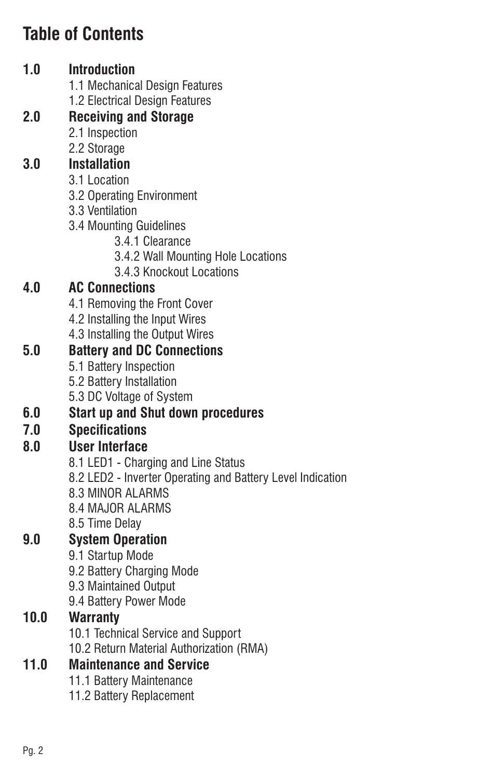# **Table of Contents**

### **1.0 Introduction**

- 1.1 Mechanical Design Features
- 1.2 Electrical Design Features

### **2.0 Receiving and Storage**

- 2.1 Inspection
- 2.2 Storage

### **3.0 Installation**

- 3.1 Location
- 3.2 Operating Environment
- 3.3 Ventilation
- 3.4 Mounting Guidelines
	- 3.4.1 Clearance
	- 3.4.2 Wall Mounting Hole Locations
	- 3.4.3 Knockout Locations

### **4.0 AC Connections**

- 4.1 Removing the Front Cover
- 4.2 Installing the Input Wires
- 4.3 Installing the Output Wires

### **5.0 Battery and DC Connections**

- 5.1 Battery Inspection
- 5.2 Battery Installation
- 5.3 DC Voltage of System

### **6.0 Start up and Shut down procedures**

### **7.0 Specifications**

### **8.0 User Interface**

- 8.1 LED1 Charging and Line Status
- 8.2 LED2 Inverter Operating and Battery Level Indication
- 8.3 MINOR ALARMS
- 8.4 MAJOR ALARMS
- 8.5 Time Delay

### **9.0 System Operation**

- 9.1 Startup Mode
- 9.2 Battery Charging Mode
- 9.3 Maintained Output
- 9.4 Battery Power Mode

### **10.0 Warranty**

- 10.1 Technical Service and Support
- 10.2 Return Material Authorization (RMA)

### **11.0 Maintenance and Service**

- 11.1 Battery Maintenance
- 11.2 Battery Replacement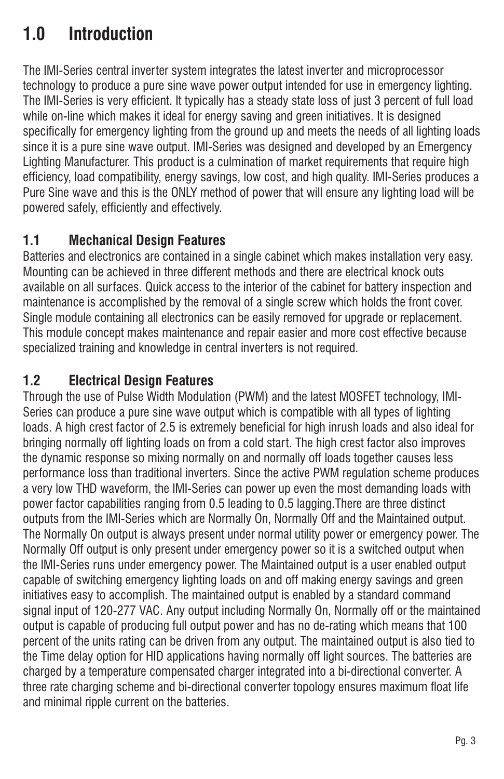# **1.0 Introduction**

The IMI-Series central inverter system integrates the latest inverter and microprocessor technology to produce a pure sine wave power output intended for use in emergency lighting. The IMI-Series is very efficient. It typically has a steady state loss of just 3 percent of full load while on-line which makes it ideal for energy saving and green initiatives. It is designed specifically for emergency lighting from the ground up and meets the needs of all lighting loads since it is a pure sine wave output. IMI-Series was designed and developed by an Emergency Lighting Manufacturer. This product is a culmination of market requirements that require high efficiency, load compatibility, energy savings, low cost, and high quality. IMI-Series produces a Pure Sine wave and this is the ONLY method of power that will ensure any lighting load will be powered safely, efficiently and effectively.

## **1.1 Mechanical Design Features**

Batteries and electronics are contained in a single cabinet which makes installation very easy. Mounting can be achieved in three different methods and there are electrical knock outs available on all surfaces. Quick access to the interior of the cabinet for battery inspection and maintenance is accomplished by the removal of a single screw which holds the front cover. Single module containing all electronics can be easily removed for upgrade or replacement. This module concept makes maintenance and repair easier and more cost effective because specialized training and knowledge in central inverters is not required.

### **1.2 Electrical Design Features**

Through the use of Pulse Width Modulation (PWM) and the latest MOSFET technology, IMI-Series can produce a pure sine wave output which is compatible with all types of lighting loads. A high crest factor of 2.5 is extremely beneficial for high inrush loads and also ideal for bringing normally off lighting loads on from a cold start. The high crest factor also improves the dynamic response so mixing normally on and normally off loads together causes less performance loss than traditional inverters. Since the active PWM regulation scheme produces a very low THD waveform, the IMI-Series can power up even the most demanding loads with power factor capabilities ranging from 0.5 leading to 0.5 lagging.There are three distinct outputs from the IMI-Series which are Normally On, Normally Off and the Maintained output. The Normally On output is always present under normal utility power or emergency power. The Normally Off output is only present under emergency power so it is a switched output when the IMI-Series runs under emergency power. The Maintained output is a user enabled output capable of switching emergency lighting loads on and off making energy savings and green initiatives easy to accomplish. The maintained output is enabled by a standard command signal input of 120-277 VAC. Any output including Normally On, Normally off or the maintained output is capable of producing full output power and has no de-rating which means that 100 percent of the units rating can be driven from any output. The maintained output is also tied to the Time delay option for HID applications having normally off light sources. The batteries are charged by a temperature compensated charger integrated into a bi-directional converter. A three rate charging scheme and bi-directional converter topology ensures maximum float life and minimal ripple current on the batteries.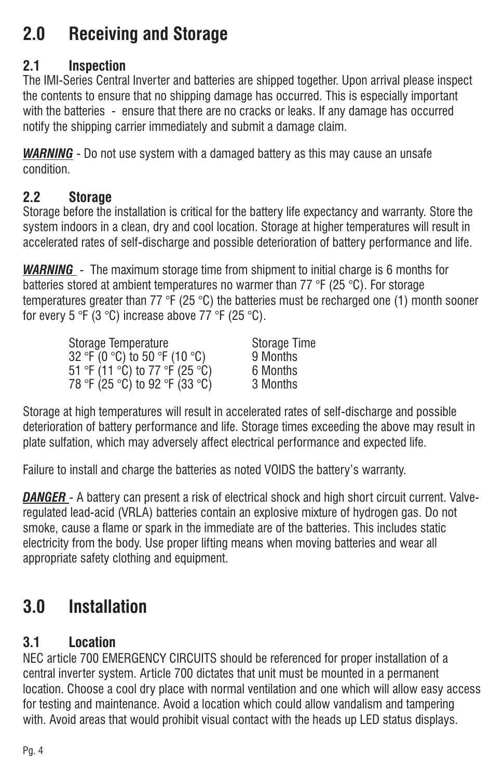# **2.0 Receiving and Storage**

### **2.1 Inspection**

The IMI-Series Central Inverter and batteries are shipped together. Upon arrival please inspect the contents to ensure that no shipping damage has occurred. This is especially important with the batteries - ensure that there are no cracks or leaks. If any damage has occurred notify the shipping carrier immediately and submit a damage claim.

- Do not use system with a damaged battery as this may cause an unsafe *WARNING* condition.

### **2.2 Storage**

Storage before the installation is critical for the battery life expectancy and warranty. Store the system indoors in a clean, dry and cool location. Storage at higher temperatures will result in accelerated rates of self-discharge and possible deterioration of battery performance and life.

- The maximum storage time from shipment to initial charge is 6 months for *WARNING* batteries stored at ambient temperatures no warmer than 77 °F (25 °C). For storage temperatures greater than 77 °F (25 °C) the batteries must be recharged one (1) month sooner for every 5 °F (3 °C) increase above 77 °F (25 °C).

| Storage Temperature            | <b>Storage Time</b> |
|--------------------------------|---------------------|
| 32 °F (0 °C) to 50 °F (10 °C)  | 9 Months            |
| 51 °F (11 °C) to 77 °F (25 °C) | 6 Months            |
| 78 °F (25 °C) to 92 °F (33 °C) | 3 Months            |

Storage at high temperatures will result in accelerated rates of self-discharge and possible deterioration of battery performance and life. Storage times exceeding the above may result in plate sulfation, which may adversely affect electrical performance and expected life.

Failure to install and charge the batteries as noted VOIDS the battery's warranty.

- A battery can present a risk of electrical shock and high short circuit current. Valve-*DANGER* regulated lead-acid (VRLA) batteries contain an explosive mixture of hydrogen gas. Do not smoke, cause a flame or spark in the immediate are of the batteries. This includes static electricity from the body. Use proper lifting means when moving batteries and wear all appropriate safety clothing and equipment.

# **3.0 Installation**

# **3.1 Location**

NEC article 700 EMERGENCY CIRCUITS should be referenced for proper installation of a central inverter system. Article 700 dictates that unit must be mounted in a permanent location. Choose a cool dry place with normal ventilation and one which will allow easy access for testing and maintenance. Avoid a location which could allow vandalism and tampering with. Avoid areas that would prohibit visual contact with the heads up LED status displays.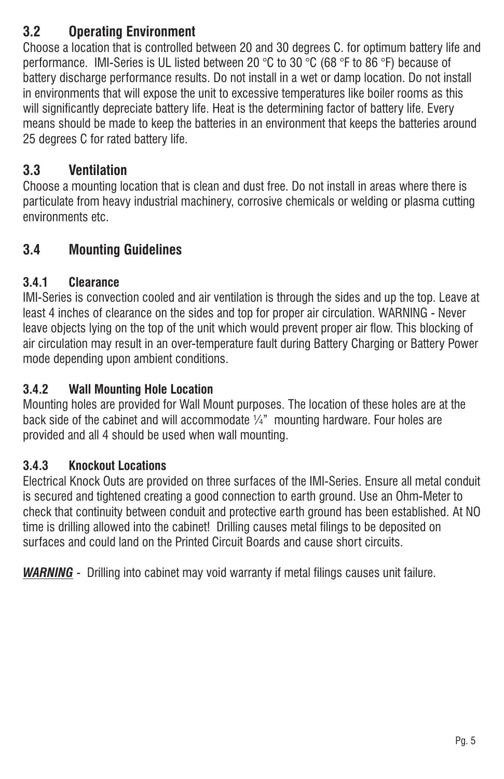## **3.2 Operating Environment**

Choose a location that is controlled between 20 and 30 degrees C. for optimum battery life and performance. IMI-Series is UL listed between 20 °C to 30 °C (68 °F to 86 °F) because of battery discharge performance results. Do not install in a wet or damp location. Do not install in environments that will expose the unit to excessive temperatures like boiler rooms as this will significantly depreciate battery life. Heat is the determining factor of battery life. Every means should be made to keep the batteries in an environment that keeps the batteries around 25 degrees C for rated battery life.

### **3.3 Ventilation**

Choose a mounting location that is clean and dust free. Do not install in areas where there is particulate from heavy industrial machinery, corrosive chemicals or welding or plasma cutting environments etc.

### **3.4 Mounting Guidelines**

#### **3.4.1 Clearance**

IMI-Series is convection cooled and air ventilation is through the sides and up the top. Leave at least 4 inches of clearance on the sides and top for proper air circulation. WARNING - Never leave objects lying on the top of the unit which would prevent proper air flow. This blocking of air circulation may result in an over-temperature fault during Battery Charging or Battery Power mode depending upon ambient conditions.

#### **3.4.2 Wall Mounting Hole Location**

Mounting holes are provided for Wall Mount purposes. The location of these holes are at the back side of the cabinet and will accommodate  $\mathcal{U}_4$ " mounting hardware. Four holes are provided and all 4 should be used when wall mounting.

#### **3.4.3 Knockout Locations**

Electrical Knock Outs are provided on three surfaces of the IMI-Series. Ensure all metal conduit is secured and tightened creating a good connection to earth ground. Use an Ohm-Meter to check that continuity between conduit and protective earth ground has been established. At NO time is drilling allowed into the cabinet! Drilling causes metal filings to be deposited on surfaces and could land on the Printed Circuit Boards and cause short circuits.

*WARNING* - Drilling into cabinet may void warranty if metal filings causes unit failure.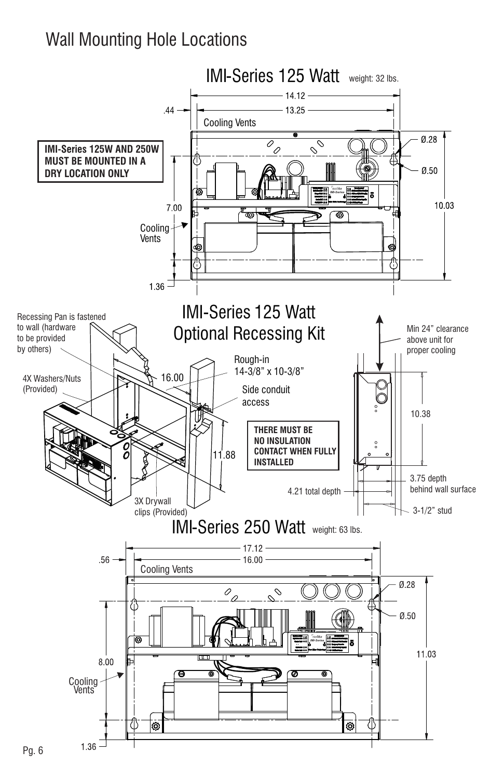# Wall Mounting Hole Locations

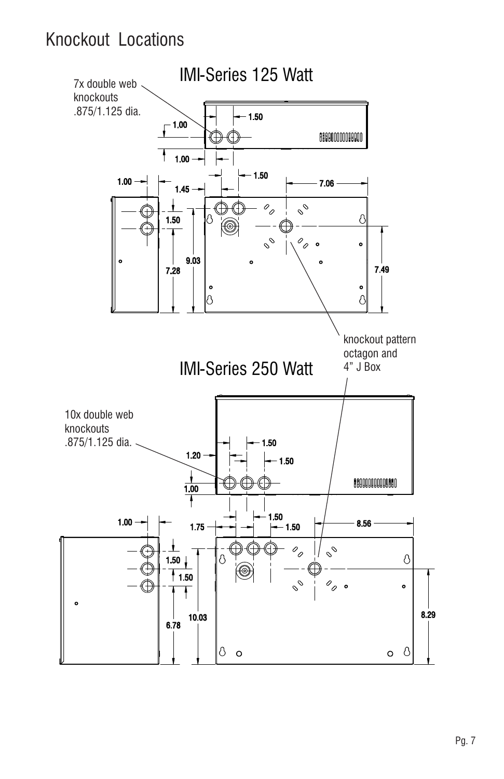# Knockout Locations

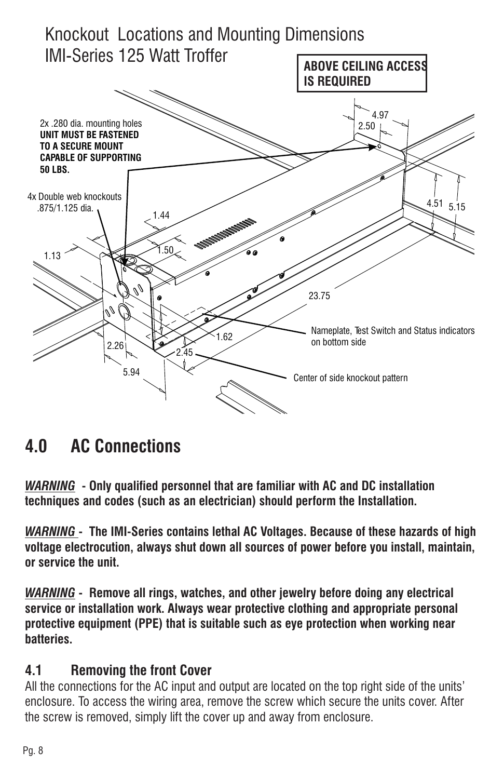

# **4.0 AC Connections**

*WARNING* **- Only qualified personnel that are familiar with AC and DC installation techniques and codes (such as an electrician) should perform the Installation.**

*WARNING* **- The IMI-Series contains lethal AC Voltages. Because of these hazards of high voltage electrocution, always shut down all sources of power before you install, maintain, or service the unit.**

*WARNING* **- Remove all rings, watches, and other jewelry before doing any electrical service or installation work. Always wear protective clothing and appropriate personal protective equipment (PPE) that is suitable such as eye protection when working near batteries.**

#### **4.1 Removing the front Cover**

All the connections for the AC input and output are located on the top right side of the units' enclosure. To access the wiring area, remove the screw which secure the units cover. After the screw is removed, simply lift the cover up and away from enclosure.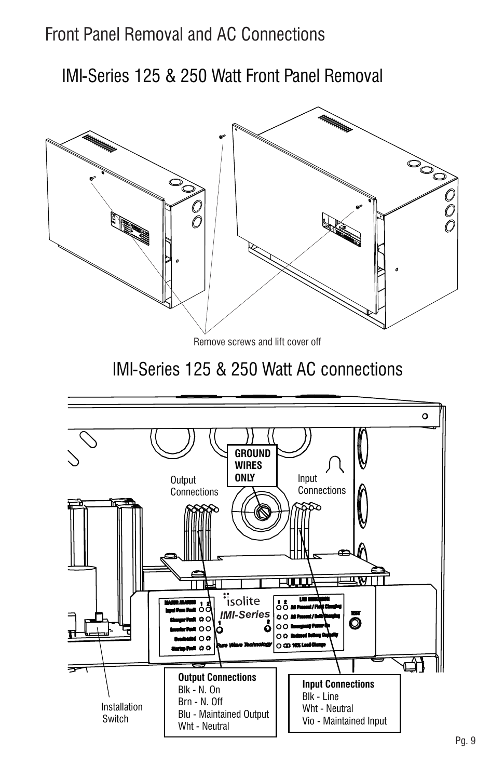# Front Panel Removal and AC Connections

IMI-Series 125 & 250 Watt Front Panel Removal

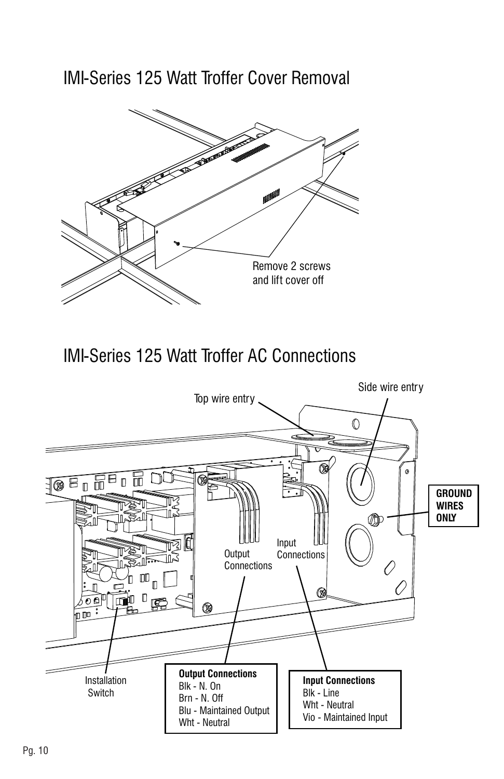IMI-Series 125 Watt Troffer Cover Removal



IMI-Series 125 Watt Troffer AC Connections

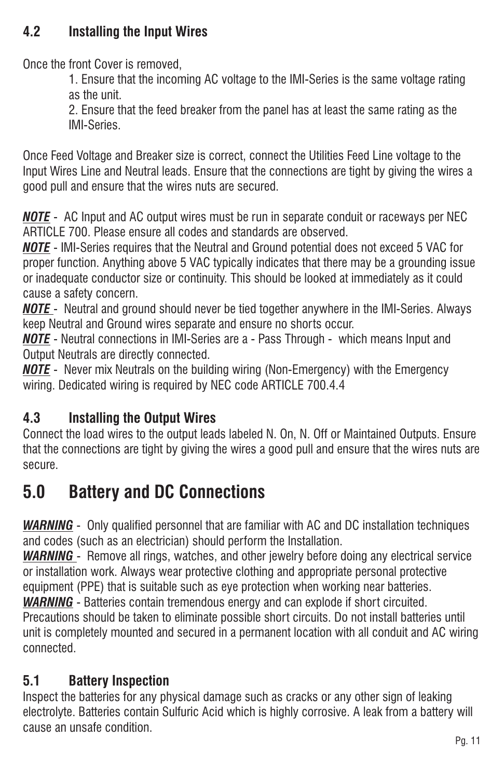### **4.2 Installing the Input Wires**

Once the front Cover is removed,

1. Ensure that the incoming AC voltage to the IMI-Series is the same voltage rating as the unit.

2. Ensure that the feed breaker from the panel has at least the same rating as the IMI-Series.

Once Feed Voltage and Breaker size is correct, connect the Utilities Feed Line voltage to the Input Wires Line and Neutral leads. Ensure that the connections are tight by giving the wires a good pull and ensure that the wires nuts are secured.

- AC Input and AC output wires must be run in separate conduit or raceways per NEC *NOTE* ARTICLE 700. Please ensure all codes and standards are observed.

- IMI-Series requires that the Neutral and Ground potential does not exceed 5 VAC for *NOTE* proper function. Anything above 5 VAC typically indicates that there may be a grounding issue or inadequate conductor size or continuity. This should be looked at immediately as it could cause a safety concern.

<u>NOTE -</u> Neutral and ground should never be tied together anywhere in the IMI-Series. Always keep Neutral and Ground wires separate and ensure no shorts occur.

- Neutral connections in IMI-Series are a - Pass Through - which means Input and *NOTE* Output Neutrals are directly connected.

<u>NOTE</u> - Never mix Neutrals on the building wiring (Non-Emergency) with the Emergency wiring. Dedicated wiring is required by NEC code ARTICLE 700.4.4

# **4.3 Installing the Output Wires**

Connect the load wires to the output leads labeled N. On, N. Off or Maintained Outputs. Ensure that the connections are tight by giving the wires a good pull and ensure that the wires nuts are secure.

# **5.0 Battery and DC Connections**

*WARNING* - Only qualified personnel that are familiar with AC and DC installation techniques and codes (such as an electrician) should perform the Installation.

*WARNING* - Remove all rings, watches, and other jewelry before doing any electrical service or installation work. Always wear protective clothing and appropriate personal protective equipment (PPE) that is suitable such as eye protection when working near batteries.

*WARNING* - Batteries contain tremendous energy and can explode if short circuited.

Precautions should be taken to eliminate possible short circuits. Do not install batteries until unit is completely mounted and secured in a permanent location with all conduit and AC wiring connected.

# **5.1 Battery Inspection**

Inspect the batteries for any physical damage such as cracks or any other sign of leaking electrolyte. Batteries contain Sulfuric Acid which is highly corrosive. A leak from a battery will cause an unsafe condition.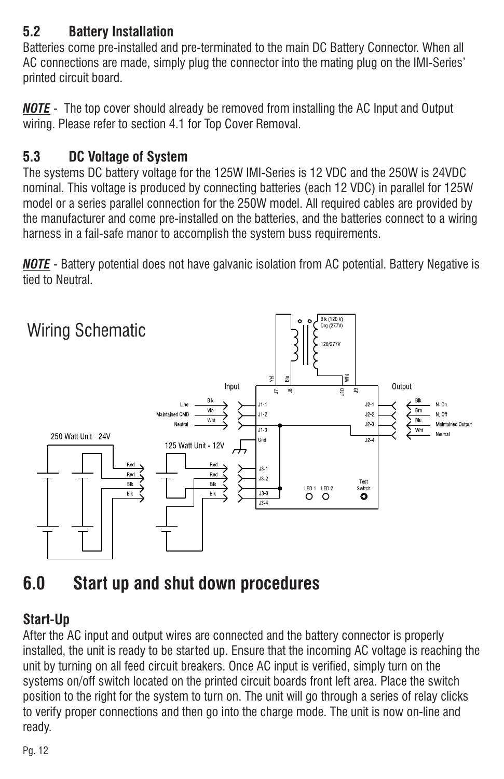## **5.2 Battery Installation**

Batteries come pre-installed and pre-terminated to the main DC Battery Connector. When all AC connections are made, simply plug the connector into the mating plug on the IMI-Series' printed circuit board.

<u>NOTE</u> - The top cover should already be removed from installing the AC Input and Output wiring. Please refer to section 4.1 for Top Cover Removal.

# **5.3 DC Voltage of System**

The systems DC battery voltage for the 125W IMI-Series is 12 VDC and the 250W is 24VDC nominal. This voltage is produced by connecting batteries (each 12 VDC) in parallel for 125W model or a series parallel connection for the 250W model. All required cables are provided by the manufacturer and come pre-installed on the batteries, and the batteries connect to a wiring harness in a fail-safe manor to accomplish the system buss requirements.

- Battery potential does not have galvanic isolation from AC potential. Battery Negative is *NOTE* tied to Neutral.



# **6.0 Start up and shut down procedures**

### **Start-Up**

After the AC input and output wires are connected and the battery connector is properly installed, the unit is ready to be started up. Ensure that the incoming AC voltage is reaching the unit by turning on all feed circuit breakers. Once AC input is verified, simply turn on the systems on/off switch located on the printed circuit boards front left area. Place the switch position to the right for the system to turn on. The unit will go through a series of relay clicks to verify proper connections and then go into the charge mode. The unit is now on-line and ready.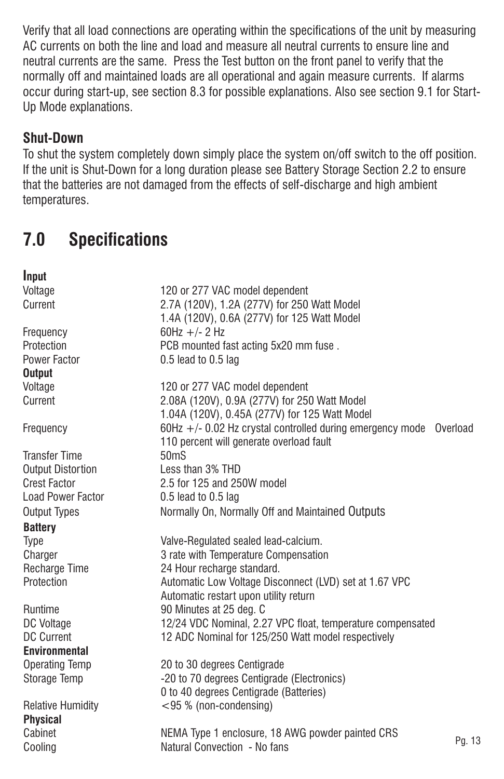Verify that all load connections are operating within the specifications of the unit by measuring AC currents on both the line and load and measure all neutral currents to ensure line and neutral currents are the same. Press the Test button on the front panel to verify that the normally off and maintained loads are all operational and again measure currents. If alarms occur during start-up, see section 8.3 for possible explanations. Also see section 9.1 for Start-Up Mode explanations.

#### **Shut-Down**

To shut the system completely down simply place the system on/off switch to the off position. If the unit is Shut-Down for a long duration please see Battery Storage Section 2.2 to ensure that the batteries are not damaged from the effects of self-discharge and high ambient temperatures.

# **7.0 Specifications**

| Input                      |                                                                                                                |        |
|----------------------------|----------------------------------------------------------------------------------------------------------------|--------|
| Voltage                    | 120 or 277 VAC model dependent                                                                                 |        |
| Current                    | 2.7A (120V), 1.2A (277V) for 250 Watt Model                                                                    |        |
|                            | 1.4A (120V), 0.6A (277V) for 125 Watt Model                                                                    |        |
| Frequency                  | 60Hz +/- 2 Hz                                                                                                  |        |
| Protection                 | PCB mounted fast acting 5x20 mm fuse.                                                                          |        |
| Power Factor               | $0.5$ lead to $0.5$ lag                                                                                        |        |
| <b>Output</b>              |                                                                                                                |        |
| Voltage                    | 120 or 277 VAC model dependent                                                                                 |        |
| Current                    | 2.08A (120V), 0.9A (277V) for 250 Watt Model<br>1.04A (120V), 0.45A (277V) for 125 Watt Model                  |        |
| Frequency                  | 60Hz +/- 0.02 Hz crystal controlled during emergency mode Overload<br>110 percent will generate overload fault |        |
| <b>Transfer Time</b>       | 50 <sub>ms</sub>                                                                                               |        |
| <b>Output Distortion</b>   | Less than 3% THD                                                                                               |        |
| <b>Crest Factor</b>        | 2.5 for 125 and 250W model                                                                                     |        |
| Load Power Factor          | $0.5$ lead to $0.5$ lag                                                                                        |        |
| <b>Output Types</b>        | Normally On, Normally Off and Maintained Outputs                                                               |        |
| <b>Battery</b>             |                                                                                                                |        |
| Type                       | Valve-Regulated sealed lead-calcium.                                                                           |        |
| Charger                    | 3 rate with Temperature Compensation                                                                           |        |
| Recharge Time              | 24 Hour recharge standard.                                                                                     |        |
| Protection                 | Automatic Low Voltage Disconnect (LVD) set at 1.67 VPC                                                         |        |
|                            | Automatic restart upon utility return                                                                          |        |
| Runtime                    | 90 Minutes at 25 deg. C                                                                                        |        |
| DC Voltage                 | 12/24 VDC Nominal, 2.27 VPC float, temperature compensated                                                     |        |
| <b>DC Current</b>          | 12 ADC Nominal for 125/250 Watt model respectively                                                             |        |
| <b>Environmental</b>       |                                                                                                                |        |
| <b>Operating Temp</b>      | 20 to 30 degrees Centigrade                                                                                    |        |
| Storage Temp               | -20 to 70 degrees Centigrade (Electronics)<br>0 to 40 degrees Centigrade (Batteries)                           |        |
| <b>Relative Humidity</b>   | <95 % (non-condensing)                                                                                         |        |
| <b>Physical</b><br>Cabinet | NEMA Type 1 enclosure, 18 AWG powder painted CRS                                                               |        |
| Cooling                    | Natural Convection - No fans                                                                                   | Pg. 13 |
|                            |                                                                                                                |        |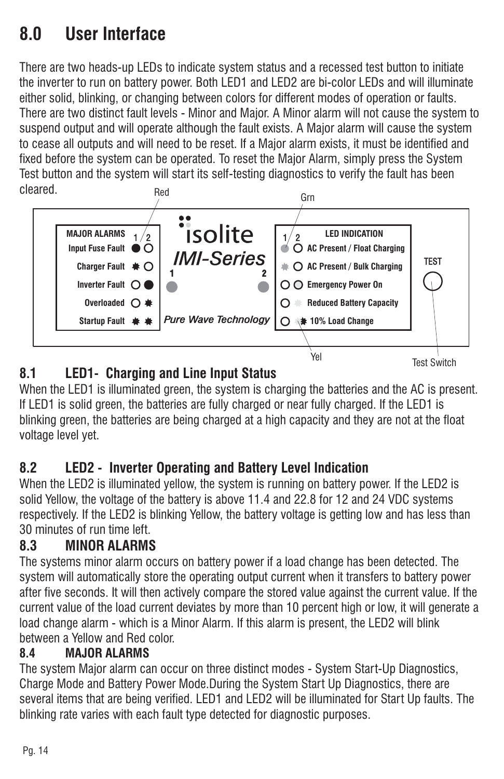# **8.0 User Interface**

There are two heads-up LEDs to indicate system status and a recessed test button to initiate the inverter to run on battery power. Both LED1 and LED2 are bi-color LEDs and will illuminate either solid, blinking, or changing between colors for different modes of operation or faults. There are two distinct fault levels - Minor and Major. A Minor alarm will not cause the system to suspend output and will operate although the fault exists. A Major alarm will cause the system to cease all outputs and will need to be reset. If a Major alarm exists, it must be identified and fixed before the system can be operated. To reset the Major Alarm, simply press the System Test button and the system will start its self-testing diagnostics to verify the fault has been cleared.



# **8.1 LED1- Charging and Line Input Status**

When the LED1 is illuminated green, the system is charging the batteries and the AC is present. If LED1 is solid green, the batteries are fully charged or near fully charged. If the LED1 is blinking green, the batteries are being charged at a high capacity and they are not at the float voltage level yet.

# **8.2 LED2 - Inverter Operating and Battery Level Indication**

When the LED2 is illuminated yellow, the system is running on battery power. If the LED2 is solid Yellow, the voltage of the battery is above 11.4 and 22.8 for 12 and 24 VDC systems respectively. If the LED2 is blinking Yellow, the battery voltage is getting low and has less than 30 minutes of run time left.

### **8.3 MINOR ALARMS**

The systems minor alarm occurs on battery power if a load change has been detected. The system will automatically store the operating output current when it transfers to battery power after five seconds. It will then actively compare the stored value against the current value. If the current value of the load current deviates by more than 10 percent high or low, it will generate a load change alarm - which is a Minor Alarm. If this alarm is present, the LED2 will blink between a Yellow and Red color.

### **8.4 MAJOR ALARMS**

The system Major alarm can occur on three distinct modes - System Start-Up Diagnostics, Charge Mode and Battery Power Mode.During the System Start Up Diagnostics, there are several items that are being verified. LED1 and LED2 will be illuminated for Start Up faults. The blinking rate varies with each fault type detected for diagnostic purposes.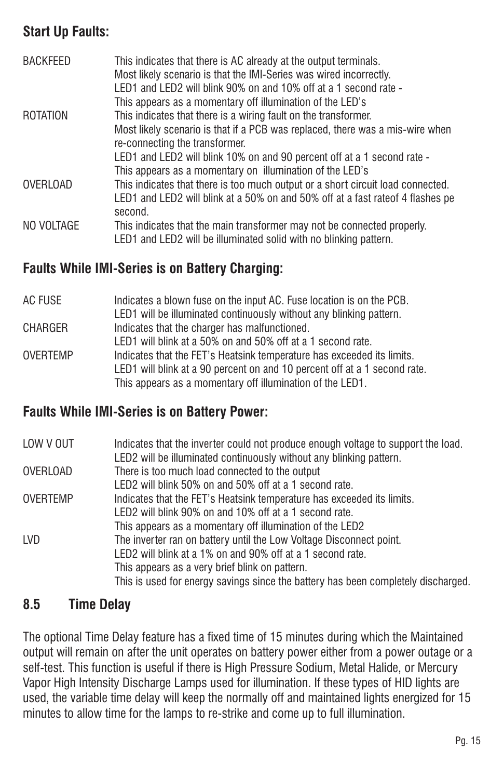### **Start Up Faults:**

| BACKFEED        | This indicates that there is AC already at the output terminals.<br>Most likely scenario is that the IMI-Series was wired incorrectly.<br>LED1 and LED2 will blink 90% on and 10% off at a 1 second rate -<br>This appears as a momentary off illumination of the LED's |
|-----------------|-------------------------------------------------------------------------------------------------------------------------------------------------------------------------------------------------------------------------------------------------------------------------|
| <b>ROTATION</b> | This indicates that there is a wiring fault on the transformer.                                                                                                                                                                                                         |
|                 | Most likely scenario is that if a PCB was replaced, there was a mis-wire when<br>re-connecting the transformer.                                                                                                                                                         |
|                 | LED1 and LED2 will blink 10% on and 90 percent off at a 1 second rate -                                                                                                                                                                                                 |
|                 | This appears as a momentary on illumination of the LED's                                                                                                                                                                                                                |
| <b>OVERLOAD</b> | This indicates that there is too much output or a short circuit load connected.                                                                                                                                                                                         |
|                 | LED1 and LED2 will blink at a 50% on and 50% off at a fast rateof 4 flashes pe<br>second.                                                                                                                                                                               |
| NO VOLTAGE      | This indicates that the main transformer may not be connected properly.                                                                                                                                                                                                 |
|                 | LED1 and LED2 will be illuminated solid with no blinking pattern.                                                                                                                                                                                                       |

#### **Faults While IMI-Series is on Battery Charging:**

| AC FUSE         | Indicates a blown fuse on the input AC. Fuse location is on the PCB.      |
|-----------------|---------------------------------------------------------------------------|
|                 | LED1 will be illuminated continuously without any blinking pattern.       |
| <b>CHARGER</b>  | Indicates that the charger has malfunctioned.                             |
|                 | LED1 will blink at a 50% on and 50% off at a 1 second rate.               |
| <b>OVERTEMP</b> | Indicates that the FET's Heatsink temperature has exceeded its limits.    |
|                 | LED1 will blink at a 90 percent on and 10 percent off at a 1 second rate. |
|                 | This appears as a momentary off illumination of the LED1.                 |

#### **Faults While IMI-Series is on Battery Power:**

| LOW V OUT | Indicates that the inverter could not produce enough voltage to support the load.<br>LED2 will be illuminated continuously without any blinking pattern. |
|-----------|----------------------------------------------------------------------------------------------------------------------------------------------------------|
| OVERLOAD  | There is too much load connected to the output                                                                                                           |
|           | LED2 will blink 50% on and 50% off at a 1 second rate.                                                                                                   |
| OVERTEMP  | Indicates that the FET's Heatsink temperature has exceeded its limits.                                                                                   |
|           | LED2 will blink 90% on and 10% off at a 1 second rate.                                                                                                   |
|           | This appears as a momentary off illumination of the LED2                                                                                                 |
| LVD.      | The inverter ran on battery until the Low Voltage Disconnect point.                                                                                      |
|           | LED2 will blink at a 1% on and 90% off at a 1 second rate.                                                                                               |
|           | This appears as a very brief blink on pattern.                                                                                                           |
|           | This is used for energy savings since the battery has been completely discharged.                                                                        |

#### **8.5 Time Delay**

The optional Time Delay feature has a fixed time of 15 minutes during which the Maintained output will remain on after the unit operates on battery power either from a power outage or a self-test. This function is useful if there is High Pressure Sodium, Metal Halide, or Mercury Vapor High Intensity Discharge Lamps used for illumination. If these types of HID lights are used, the variable time delay will keep the normally off and maintained lights energized for 15 minutes to allow time for the lamps to re-strike and come up to full illumination.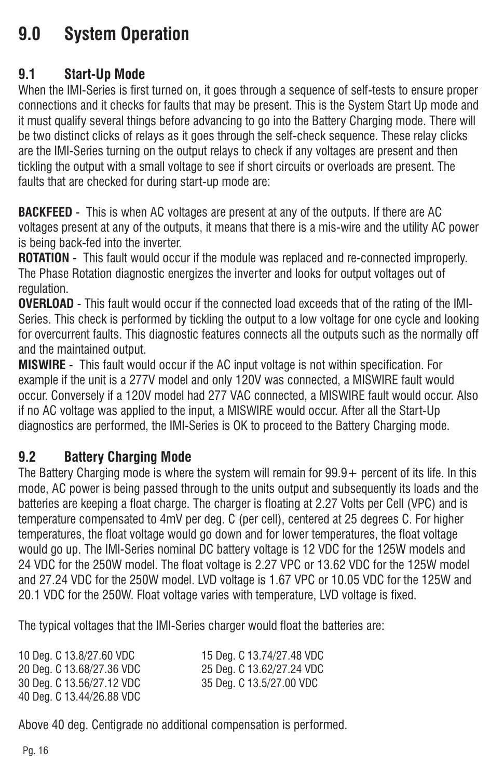# **9.0 System Operation**

#### **9.1 Start-Up Mode**

When the IMI-Series is first turned on, it goes through a sequence of self-tests to ensure proper connections and it checks for faults that may be present. This is the System Start Up mode and it must qualify several things before advancing to go into the Battery Charging mode. There will be two distinct clicks of relays as it goes through the self-check sequence. These relay clicks are the IMI-Series turning on the output relays to check if any voltages are present and then tickling the output with a small voltage to see if short circuits or overloads are present. The faults that are checked for during start-up mode are:

**BACKFEED** - This is when AC voltages are present at any of the outputs. If there are AC voltages present at any of the outputs, it means that there is a mis-wire and the utility AC power is being back-fed into the inverter.

**ROTATION** - This fault would occur if the module was replaced and re-connected improperly. The Phase Rotation diagnostic energizes the inverter and looks for output voltages out of regulation.

**OVERLOAD** - This fault would occur if the connected load exceeds that of the rating of the IMI-Series. This check is performed by tickling the output to a low voltage for one cycle and looking for overcurrent faults. This diagnostic features connects all the outputs such as the normally off and the maintained output.

**MISWIRE** - This fault would occur if the AC input voltage is not within specification. For example if the unit is a 277V model and only 120V was connected, a MISWIRE fault would occur. Conversely if a 120V model had 277 VAC connected, a MISWIRE fault would occur. Also if no AC voltage was applied to the input, a MISWIRE would occur. After all the Start-Up diagnostics are performed, the IMI-Series is OK to proceed to the Battery Charging mode.

#### **9.2 Battery Charging Mode**

The Battery Charging mode is where the system will remain for 99.9+ percent of its life. In this mode, AC power is being passed through to the units output and subsequently its loads and the batteries are keeping a float charge. The charger is floating at 2.27 Volts per Cell (VPC) and is temperature compensated to 4mV per deg. C (per cell), centered at 25 degrees C. For higher temperatures, the float voltage would go down and for lower temperatures, the float voltage would go up. The IMI-Series nominal DC battery voltage is 12 VDC for the 125W models and 24 VDC for the 250W model. The float voltage is 2.27 VPC or 13.62 VDC for the 125W model and 27.24 VDC for the 250W model. LVD voltage is 1.67 VPC or 10.05 VDC for the 125W and 20.1 VDC for the 250W. Float voltage varies with temperature, LVD voltage is fixed.

The typical voltages that the IMI-Series charger would float the batteries are:

| 10 Deg. C 13.8/27.60 VDC  | 15 Deg. C 13.74/27.48 VDC |
|---------------------------|---------------------------|
| 20 Deg. C 13.68/27.36 VDC | 25 Deg. C 13.62/27.24 VDC |
| 30 Deg. C 13.56/27.12 VDC | 35 Deg. C 13.5/27.00 VDC  |
| 40 Deg. C 13.44/26.88 VDC |                           |

Above 40 deg. Centigrade no additional compensation is performed.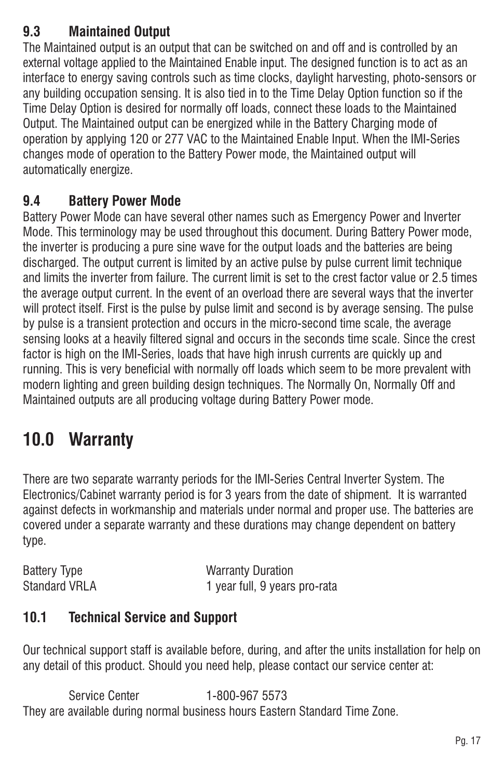## **9.3 Maintained Output**

The Maintained output is an output that can be switched on and off and is controlled by an external voltage applied to the Maintained Enable input. The designed function is to act as an interface to energy saving controls such as time clocks, daylight harvesting, photo-sensors or any building occupation sensing. It is also tied in to the Time Delay Option function so if the Time Delay Option is desired for normally off loads, connect these loads to the Maintained Output. The Maintained output can be energized while in the Battery Charging mode of operation by applying 120 or 277 VAC to the Maintained Enable Input. When the IMI-Series changes mode of operation to the Battery Power mode, the Maintained output will automatically energize.

### **9.4 Battery Power Mode**

Battery Power Mode can have several other names such as Emergency Power and Inverter Mode. This terminology may be used throughout this document. During Battery Power mode, the inverter is producing a pure sine wave for the output loads and the batteries are being discharged. The output current is limited by an active pulse by pulse current limit technique and limits the inverter from failure. The current limit is set to the crest factor value or 2.5 times the average output current. In the event of an overload there are several ways that the inverter will protect itself. First is the pulse by pulse limit and second is by average sensing. The pulse by pulse is a transient protection and occurs in the micro-second time scale, the average sensing looks at a heavily filtered signal and occurs in the seconds time scale. Since the crest factor is high on the IMI-Series, loads that have high inrush currents are quickly up and running. This is very beneficial with normally off loads which seem to be more prevalent with modern lighting and green building design techniques. The Normally On, Normally Off and Maintained outputs are all producing voltage during Battery Power mode.

# **10.0 Warranty**

There are two separate warranty periods for the IMI-Series Central Inverter System. The Electronics/Cabinet warranty period is for 3 years from the date of shipment. It is warranted against defects in workmanship and materials under normal and proper use. The batteries are covered under a separate warranty and these durations may change dependent on battery type.

Battery Type Warranty Duration Standard VRLA 1 year full, 9 years pro-rata

#### **10.1 Technical Service and Support**

Our technical support staff is available before, during, and after the units installation for help on any detail of this product. Should you need help, please contact our service center at:

Service Center 1-800-967 5573 They are available during normal business hours Eastern Standard Time Zone.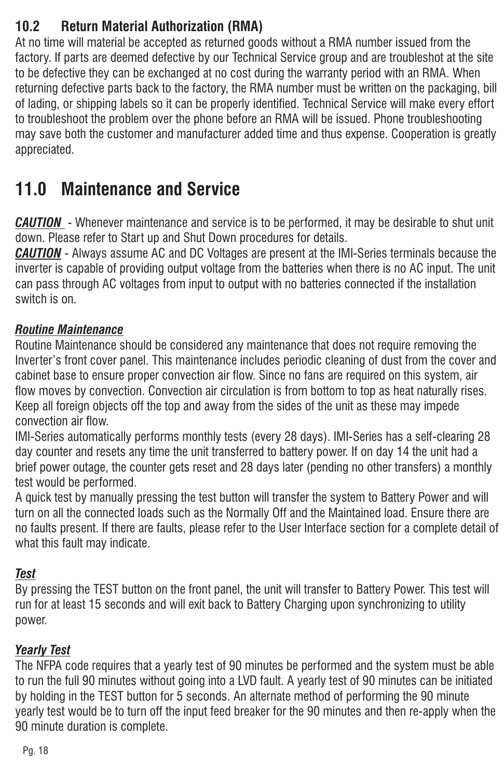### **10.2 Return Material Authorization (RMA)**

At no time will material be accepted as returned goods without a RMA number issued from the factory. If parts are deemed defective by our Technical Service group and are troubleshot at the site to be defective they can be exchanged at no cost during the warranty period with an RMA. When returning defective parts back to the factory, the RMA number must be written on the packaging, bill of lading, or shipping labels so it can be properly identified. Technical Service will make every effort to troubleshoot the problem over the phone before an RMA will be issued. Phone troubleshooting may save both the customer and manufacturer added time and thus expense. Cooperation is greatly appreciated.

# **11.0 Maintenance and Service**

- Whenever maintenance and service is to be performed, it may be desirable to shut unit *CAUTION* down. Please refer to Start up and Shut Down procedures for details.

- Always assume AC and DC Voltages are present at the IMI-Series terminals because the *CAUTION* inverter is capable of providing output voltage from the batteries when there is no AC input. The unit can pass through AC voltages from input to output with no batteries connected if the installation switch is on.

#### *Routine Maintenance*

Routine Maintenance should be considered any maintenance that does not require removing the Inverter's front cover panel. This maintenance includes periodic cleaning of dust from the cover and cabinet base to ensure proper convection air flow. Since no fans are required on this system, air flow moves by convection. Convection air circulation is from bottom to top as heat naturally rises. Keep all foreign objects off the top and away from the sides of the unit as these may impede convection air flow.

IMI-Series automatically performs monthly tests (every 28 days). IMI-Series has a self-clearing 28 day counter and resets any time the unit transferred to battery power. If on day 14 the unit had a brief power outage, the counter gets reset and 28 days later (pending no other transfers) a monthly test would be performed.

A quick test by manually pressing the test button will transfer the system to Battery Power and will turn on all the connected loads such as the Normally Off and the Maintained load. Ensure there are no faults present. If there are faults, please refer to the User Interface section for a complete detail of what this fault may indicate.

#### *Test*

By pressing the TEST button on the front panel, the unit will transfer to Battery Power. This test will run for at least 15 seconds and will exit back to Battery Charging upon synchronizing to utility power.

#### *Yearly Test*

The NFPA code requires that a yearly test of 90 minutes be performed and the system must be able to run the full 90 minutes without going into a LVD fault. A yearly test of 90 minutes can be initiated by holding in the TEST button for 5 seconds. An alternate method of performing the 90 minute yearly test would be to turn off the input feed breaker for the 90 minutes and then re-apply when the 90 minute duration is complete.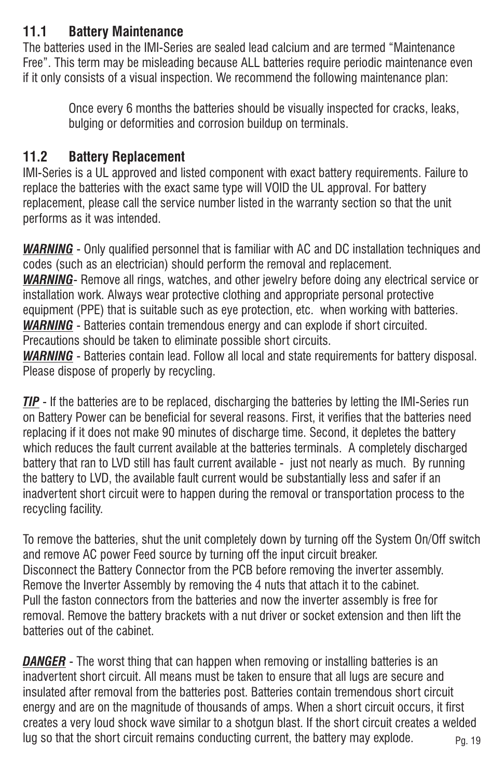### **11.1 Battery Maintenance**

The batteries used in the IMI-Series are sealed lead calcium and are termed "Maintenance Free". This term may be misleading because ALL batteries require periodic maintenance even if it only consists of a visual inspection. We recommend the following maintenance plan:

Once every 6 months the batteries should be visually inspected for cracks, leaks, bulging or deformities and corrosion buildup on terminals.

#### **11.2 Battery Replacement**

IMI-Series is a UL approved and listed component with exact battery requirements. Failure to replace the batteries with the exact same type will VOID the UL approval. For battery replacement, please call the service number listed in the warranty section so that the unit performs as it was intended.

- Only qualified personnel that is familiar with AC and DC installation techniques and *WARNING* codes (such as an electrician) should perform the removal and replacement.

WARNING- Remove all rings, watches, and other jewelry before doing any electrical service or installation work. Always wear protective clothing and appropriate personal protective equipment (PPE) that is suitable such as eye protection, etc. when working with batteries.

**WARNING** - Batteries contain tremendous energy and can explode if short circuited.

Precautions should be taken to eliminate possible short circuits.

- Batteries contain lead. Follow all local and state requirements for battery disposal. *WARNING* Please dispose of properly by recycling.

**TIP** - If the batteries are to be replaced, discharging the batteries by letting the IMI-Series run on Battery Power can be beneficial for several reasons. First, it verifies that the batteries need replacing if it does not make 90 minutes of discharge time. Second, it depletes the battery which reduces the fault current available at the batteries terminals. A completely discharged battery that ran to LVD still has fault current available - just not nearly as much. By running the battery to LVD, the available fault current would be substantially less and safer if an inadvertent short circuit were to happen during the removal or transportation process to the recycling facility.

To remove the batteries, shut the unit completely down by turning off the System On/Off switch and remove AC power Feed source by turning off the input circuit breaker. Disconnect the Battery Connector from the PCB before removing the inverter assembly. Remove the Inverter Assembly by removing the 4 nuts that attach it to the cabinet. Pull the faston connectors from the batteries and now the inverter assembly is free for removal. Remove the battery brackets with a nut driver or socket extension and then lift the batteries out of the cabinet.

Pg. 19 - The worst thing that can happen when removing or installing batteries is an *DANGER*inadvertent short circuit. All means must be taken to ensure that all lugs are secure and insulated after removal from the batteries post. Batteries contain tremendous short circuit energy and are on the magnitude of thousands of amps. When a short circuit occurs, it first creates a very loud shock wave similar to a shotgun blast. If the short circuit creates a welded lug so that the short circuit remains conducting current, the battery may explode.